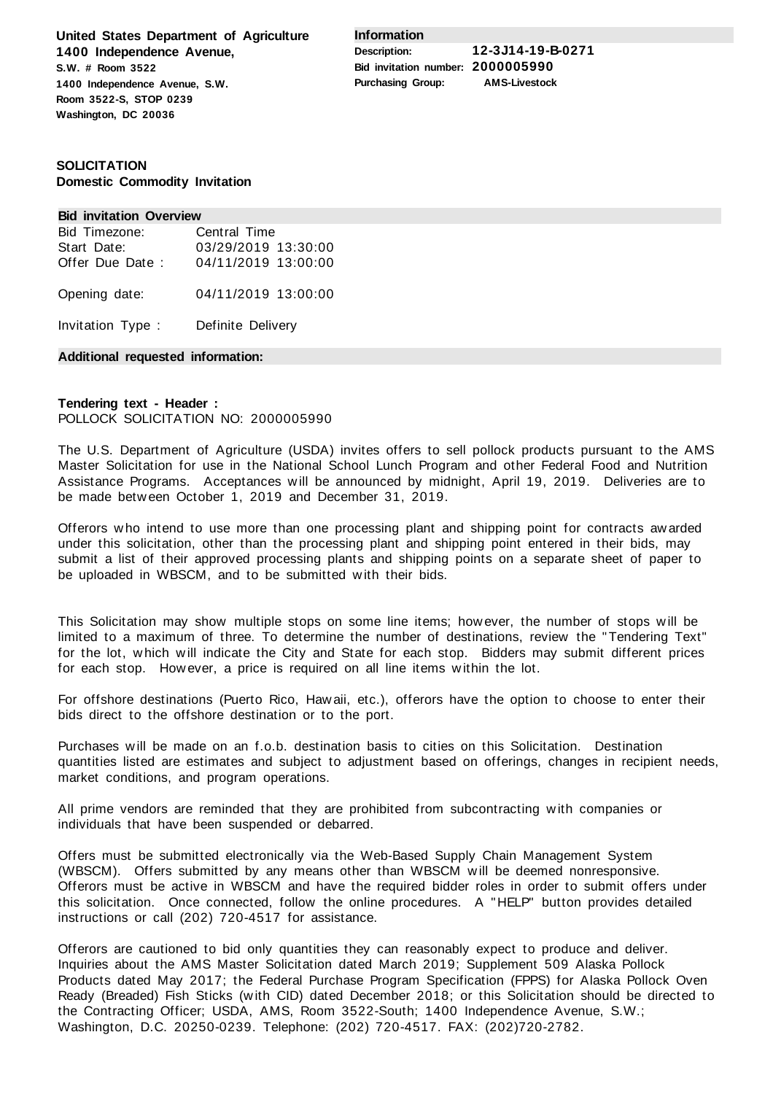**United States Department of Agriculture 1400 Independence Avenue, S.W. # Room 3522 1400 Independence Avenue, S.W. Room 3522-S, STOP 0239 Washington, DC 20036**

**Information**

**Description: 12-3J14-19-B-0271 Bid invitation number: 2000005990 Purchasing Group: AMS-Livestock**

# **SOLICITATION Domestic Commodity Invitation**

#### **Bid invitation Overview**

| Bid Timezone:     | Central Time        |
|-------------------|---------------------|
| Start Date:       | 03/29/2019 13:30:00 |
| Offer Due Date:   | 04/11/2019 13:00:00 |
| Opening date:     | 04/11/2019 13:00:00 |
| Invitation Type : | Definite Delivery   |

### **Additional requested information:**

# **Tendering text - Header :** POLLOCK SOLICITATION NO: 2000005990

The U.S. Department of Agriculture (USDA) invites offers to sell pollock products pursuant to the AMS Master Solicitation for use in the National School Lunch Program and other Federal Food and Nutrition Assistance Programs. Acceptances will be announced by midnight, April 19, 2019. Deliveries are to be made between October 1, 2019 and December 31, 2019.

Offerors who intend to use more than one processing plant and shipping point for contracts awarded under this solicitation, other than the processing plant and shipping point entered in their bids, may submit a list of their approved processing plants and shipping points on a separate sheet of paper to be uploaded in WBSCM, and to be submitted with their bids.

This Solicitation may show multiple stops on some line items; however, the number of stops will be limited to a maximum of three. To determine the number of destinations, review the "Tendering Text" for the lot, which will indicate the City and State for each stop. Bidders may submit different prices for each stop. However, a price is required on all line items within the lot.

For offshore destinations (Puerto Rico, Hawaii, etc.), offerors have the option to choose to enter their bids direct to the offshore destination or to the port.

Purchases will be made on an f.o.b. destination basis to cities on this Solicitation. Destination quantities listed are estimates and subject to adjustment based on offerings, changes in recipient needs, market conditions, and program operations.

All prime vendors are reminded that they are prohibited from subcontracting with companies or individuals that have been suspended or debarred.

Offers must be submitted electronically via the Web-Based Supply Chain Management System (WBSCM). Offers submitted by any means other than WBSCM will be deemed nonresponsive. Offerors must be active in WBSCM and have the required bidder roles in order to submit offers under this solicitation. Once connected, follow the online procedures. A "HELP" button provides detailed instructions or call (202) 720-4517 for assistance.

Offerors are cautioned to bid only quantities they can reasonably expect to produce and deliver. Inquiries about the AMS Master Solicitation dated March 2019; Supplement 509 Alaska Pollock Products dated May 2017; the Federal Purchase Program Specification (FPPS) for Alaska Pollock Oven Ready (Breaded) Fish Sticks (with CID) dated December 2018; or this Solicitation should be directed to the Contracting Officer; USDA, AMS, Room 3522-South; 1400 Independence Avenue, S.W.; Washington, D.C. 20250-0239. Telephone: (202) 720-4517. FAX: (202)720-2782.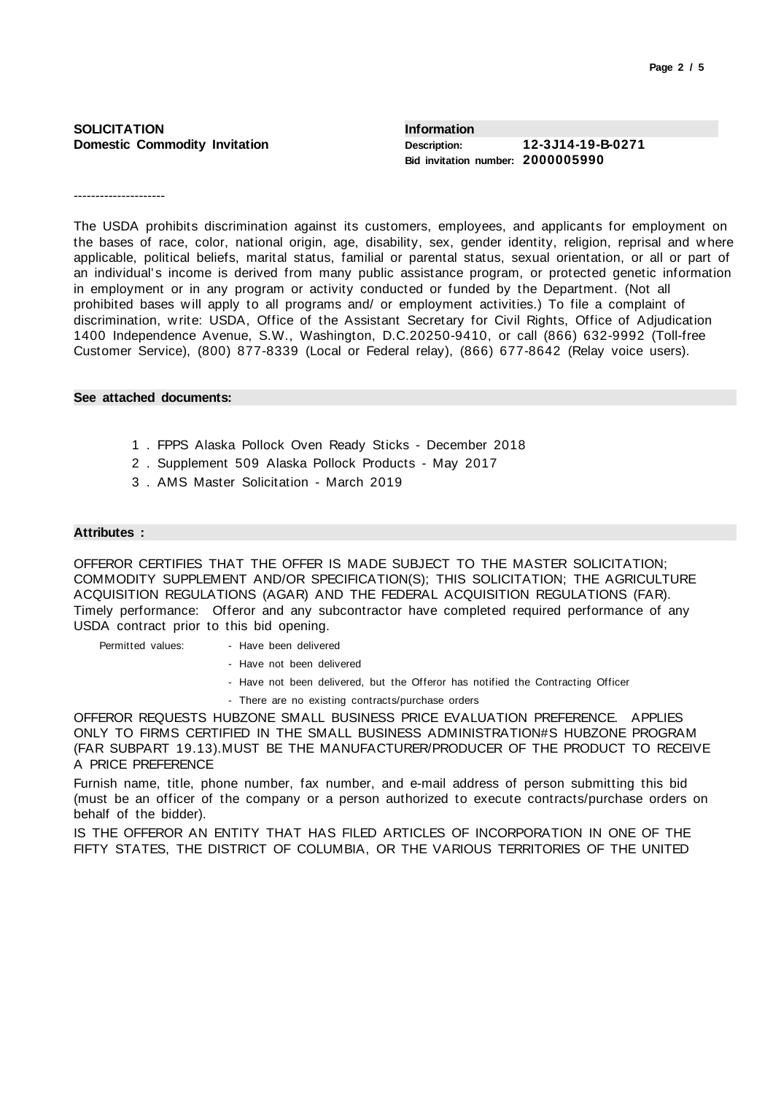| <b>SOLICITATION</b>                  | <b>Information</b>                                |                   |
|--------------------------------------|---------------------------------------------------|-------------------|
| <b>Domestic Commodity Invitation</b> | Description:<br>Bid invitation number: 2000005990 | 12-3J14-19-B-0271 |

---------------------

The USDA prohibits discrimination against its customers, employees, and applicants for employment on the bases of race, color, national origin, age, disability, sex, gender identity, religion, reprisal and where applicable, political beliefs, marital status, familial or parental status, sexual orientation, or all or part of an individual's income is derived from many public assistance program, or protected genetic information in employment or in any program or activity conducted or funded by the Department. (Not all prohibited bases will apply to all programs and/ or employment activities.) To file a complaint of discrimination, write: USDA, Office of the Assistant Secretary for Civil Rights, Office of Adjudication 1400 Independence Avenue, S.W., Washington, D.C.20250-9410, or call (866) 632-9992 (Toll-free Customer Service), (800) 877-8339 (Local or Federal relay), (866) 677-8642 (Relay voice users).

### **See attached documents:**

- 1 . FPPS Alaska Pollock Oven Ready Sticks December 2018
- 2 . Supplement 509 Alaska Pollock Products May 2017
- 3 . AMS Master Solicitation March 2019

#### **Attributes :**

OFFEROR CERTIFIES THAT THE OFFER IS MADE SUBJECT TO THE MASTER SOLICITATION; COMMODITY SUPPLEMENT AND/OR SPECIFICATION(S); THIS SOLICITATION; THE AGRICULTURE ACQUISITION REGULATIONS (AGAR) AND THE FEDERAL ACQUISITION REGULATIONS (FAR). Timely performance: Offeror and any subcontractor have completed required performance of any USDA contract prior to this bid opening.

Permitted values: - Have been delivered

- Have not been delivered
- Have not been delivered, but the Offeror has notified the Contracting Officer
- There are no existing contracts/purchase orders

OFFEROR REQUESTS HUBZONE SMALL BUSINESS PRICE EVALUATION PREFERENCE. APPLIES ONLY TO FIRMS CERTIFIED IN THE SMALL BUSINESS ADMINISTRATION#S HUBZONE PROGRAM (FAR SUBPART 19.13).MUST BE THE MANUFACTURER/PRODUCER OF THE PRODUCT TO RECEIVE A PRICE PREFERENCE

Furnish name, title, phone number, fax number, and e-mail address of person submitting this bid (must be an officer of the company or a person authorized to execute contracts/purchase orders on behalf of the bidder).

IS THE OFFEROR AN ENTITY THAT HAS FILED ARTICLES OF INCORPORATION IN ONE OF THE FIFTY STATES, THE DISTRICT OF COLUMBIA, OR THE VARIOUS TERRITORIES OF THE UNITED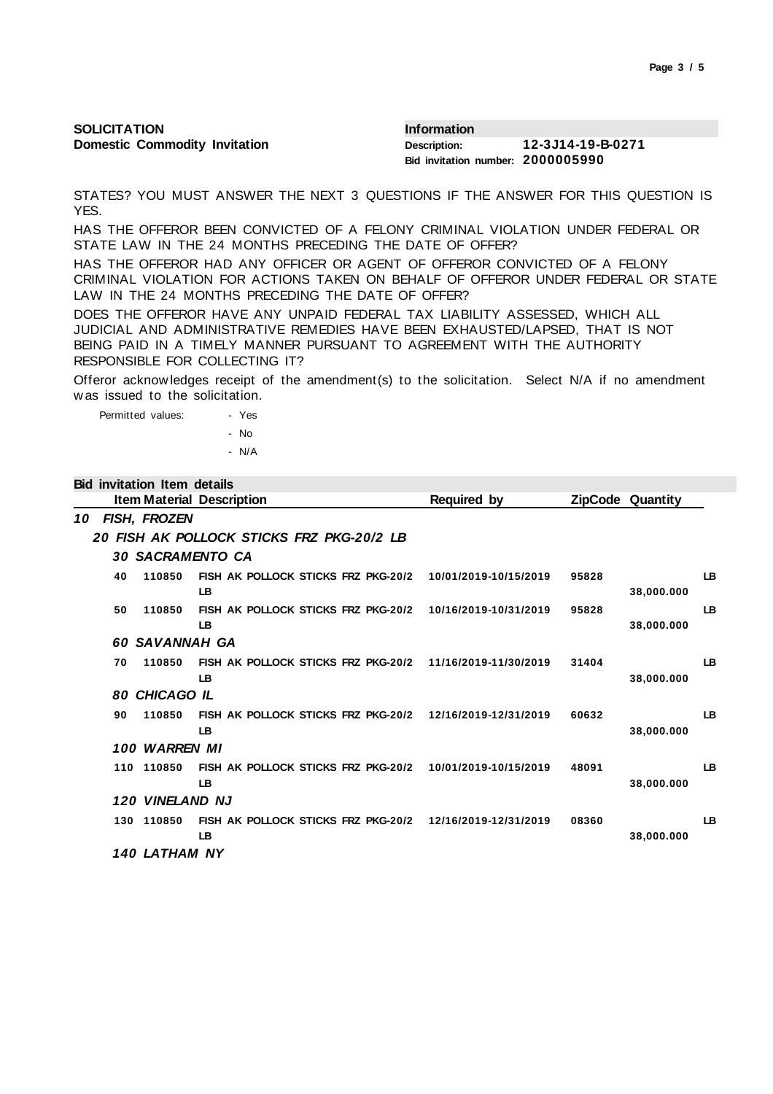| <b>SOLICITATION</b>                  | <b>Information</b>                |                   |
|--------------------------------------|-----------------------------------|-------------------|
| <b>Domestic Commodity Invitation</b> | Description:                      | 12-3J14-19-B-0271 |
|                                      | Bid invitation number: 2000005990 |                   |

STATES? YOU MUST ANSWER THE NEXT 3 QUESTIONS IF THE ANSWER FOR THIS QUESTION IS YES.

HAS THE OFFEROR BEEN CONVICTED OF A FELONY CRIMINAL VIOLATION UNDER FEDERAL OR STATE LAW IN THE 24 MONTHS PRECEDING THE DATE OF OFFER?

HAS THE OFFEROR HAD ANY OFFICER OR AGENT OF OFFEROR CONVICTED OF A FELONY CRIMINAL VIOLATION FOR ACTIONS TAKEN ON BEHALF OF OFFEROR UNDER FEDERAL OR STATE LAW IN THE 24 MONTHS PRECEDING THE DATE OF OFFER?

DOES THE OFFEROR HAVE ANY UNPAID FEDERAL TAX LIABILITY ASSESSED, WHICH ALL JUDICIAL AND ADMINISTRATIVE REMEDIES HAVE BEEN EXHAUSTED/LAPSED, THAT IS NOT BEING PAID IN A TIMELY MANNER PURSUANT TO AGREEMENT WITH THE AUTHORITY RESPONSIBLE FOR COLLECTING IT?

Offeror acknowledges receipt of the amendment(s) to the solicitation. Select N/A if no amendment was issued to the solicitation.

| Permitted values: |  | - Yes |
|-------------------|--|-------|
|                   |  | - No  |
|                   |  | - N/A |

# **Bid invitation Item details**

|    |     |                             | <b>Item Material Description</b>                 | Required by           |       | ZipCode Quantity |     |
|----|-----|-----------------------------|--------------------------------------------------|-----------------------|-------|------------------|-----|
| 10 |     | FISH, FROZEN                |                                                  |                       |       |                  |     |
|    |     |                             | 20 FISH AK POLLOCK STICKS FRZ PKG-20/2 LB        |                       |       |                  |     |
|    |     | <b>30 SACRAMENTO CA</b>     |                                                  |                       |       |                  |     |
|    | 40  | 110850                      | FISH AK POLLOCK STICKS FRZ PKG-20/2<br>LB        | 10/01/2019-10/15/2019 | 95828 | 38,000.000       | LB  |
|    | 50  | 110850                      | FISH AK POLLOCK STICKS FRZ PKG-20/2<br><b>LB</b> | 10/16/2019-10/31/2019 | 95828 | 38.000.000       | LB  |
|    |     | <b>60 SAVANNAH GA</b>       |                                                  |                       |       |                  |     |
|    | 70  | 110850                      | FISH AK POLLOCK STICKS FRZ PKG-20/2<br>LB        | 11/16/2019-11/30/2019 | 31404 | 38,000.000       | LB. |
|    | 80  | <b>CHICAGO IL</b>           |                                                  |                       |       |                  |     |
|    | 90  | 110850                      | FISH AK POLLOCK STICKS FRZ PKG-20/2<br>LB.       | 12/16/2019-12/31/2019 | 60632 | 38.000.000       | LB  |
|    |     | 100 WARREN MI               |                                                  |                       |       |                  |     |
|    |     | 110 110850                  | FISH AK POLLOCK STICKS FRZ PKG-20/2<br>LB        | 10/01/2019-10/15/2019 | 48091 | 38,000.000       | LB  |
|    |     | 120 VINELAND NJ             |                                                  |                       |       |                  |     |
|    | 130 | 110850                      | FISH AK POLLOCK STICKS FRZ PKG-20/2<br><b>LB</b> | 12/16/2019-12/31/2019 | 08360 | 38,000,000       | LB  |
|    |     | <i><b>140 LATHAM NY</b></i> |                                                  |                       |       |                  |     |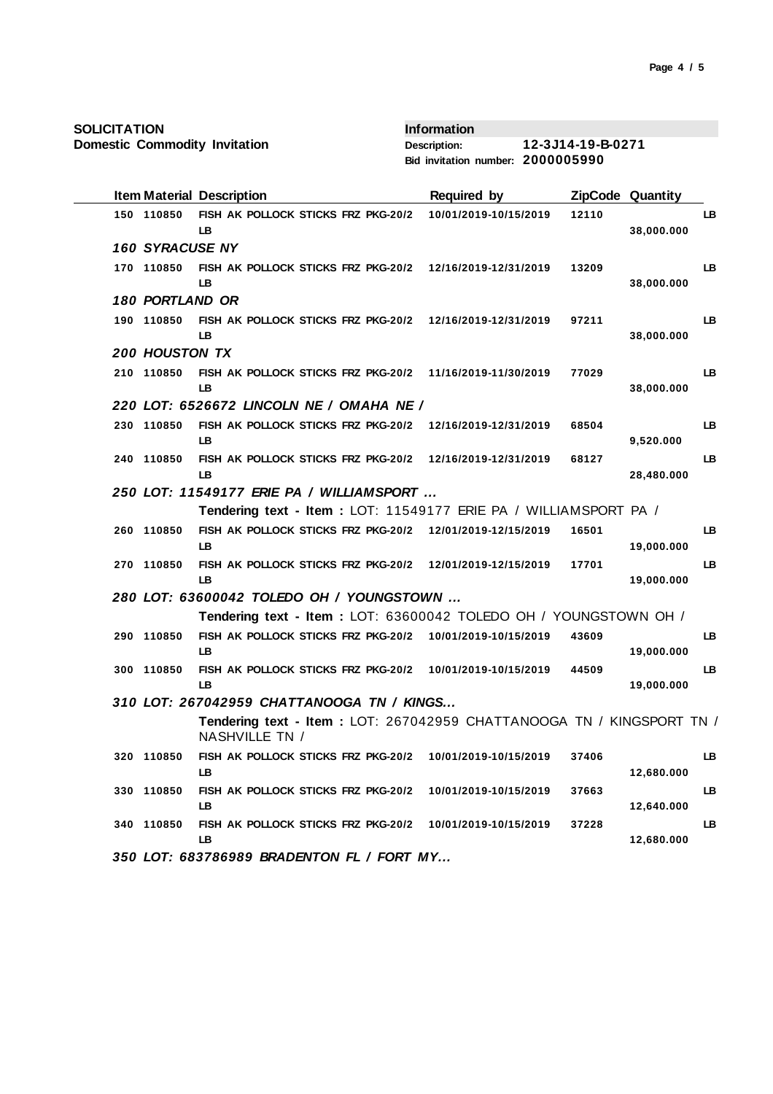**SOLICITATION**

**Domestic Commodity Invitation**

**Information Description: 12-3J14-19-B-0271 Bid invitation number: 2000005990**

|                        | <b>Item Material Description</b>                                                        | <b>Required by</b>    |       | ZipCode Quantity |           |
|------------------------|-----------------------------------------------------------------------------------------|-----------------------|-------|------------------|-----------|
| 150 110850             | FISH AK POLLOCK STICKS FRZ PKG-20/2<br><b>LB</b>                                        | 10/01/2019-10/15/2019 | 12110 | 38,000.000       | LB        |
| <b>160 SYRACUSE NY</b> |                                                                                         |                       |       |                  |           |
| 170 110850             | FISH AK POLLOCK STICKS FRZ PKG-20/2<br>LB                                               | 12/16/2019-12/31/2019 | 13209 | 38,000.000       | LB        |
| <b>180 PORTLAND OR</b> |                                                                                         |                       |       |                  |           |
| 190 110850             | FISH AK POLLOCK STICKS FRZ PKG-20/2<br>LB                                               | 12/16/2019-12/31/2019 | 97211 | 38,000.000       | LB        |
| <b>200 HOUSTON TX</b>  |                                                                                         |                       |       |                  |           |
| 210 110850             | FISH AK POLLOCK STICKS FRZ PKG-20/2<br>LB                                               | 11/16/2019-11/30/2019 | 77029 | 38,000.000       | LB        |
|                        | 220 LOT: 6526672 LINCOLN NE / OMAHA NE /                                                |                       |       |                  |           |
| 230 110850             | FISH AK POLLOCK STICKS FRZ PKG-20/2<br>LB                                               | 12/16/2019-12/31/2019 | 68504 | 9,520.000        | LB        |
| 240 110850             | FISH AK POLLOCK STICKS FRZ PKG-20/2<br>LB                                               | 12/16/2019-12/31/2019 | 68127 | 28,480.000       | LB        |
|                        | 250 LOT: 11549177 ERIE PA / WILLIAMSPORT                                                |                       |       |                  |           |
|                        | Tendering text - Item : LOT: 11549177 ERIE PA / WILLIAMSPORT PA /                       |                       |       |                  |           |
| 260 110850             | FISH AK POLLOCK STICKS FRZ PKG-20/2<br>LB.                                              | 12/01/2019-12/15/2019 | 16501 | 19,000.000       | LB        |
| 270 110850             | FISH AK POLLOCK STICKS FRZ PKG-20/2<br>LB                                               | 12/01/2019-12/15/2019 | 17701 | 19,000.000       | <b>LB</b> |
|                        | 280 LOT: 63600042 TOLEDO OH / YOUNGSTOWN                                                |                       |       |                  |           |
|                        | Tendering text - Item : LOT: 63600042 TOLEDO OH / YOUNGSTOWN OH /                       |                       |       |                  |           |
| 290 110850             | FISH AK POLLOCK STICKS FRZ PKG-20/2                                                     | 10/01/2019-10/15/2019 | 43609 |                  | LB        |
|                        | <b>LB</b>                                                                               |                       |       | 19,000.000       |           |
| 300 110850             | FISH AK POLLOCK STICKS FRZ PKG-20/2                                                     | 10/01/2019-10/15/2019 | 44509 |                  | <b>LB</b> |
|                        | LB                                                                                      |                       |       | 19,000.000       |           |
|                        | 310 LOT: 267042959 CHATTANOOGA TN / KINGS                                               |                       |       |                  |           |
|                        | Tendering text - Item: LOT: 267042959 CHATTANOOGA TN / KINGSPORT TN /<br>NASHVILLE TN / |                       |       |                  |           |
| 320 110850             | FISH AK POLLOCK STICKS FRZ PKG-20/2<br>LB                                               | 10/01/2019-10/15/2019 | 37406 | 12,680.000       | LB        |
| 330 110850             | FISH AK POLLOCK STICKS FRZ PKG-20/2<br>LB                                               | 10/01/2019-10/15/2019 | 37663 | 12,640.000       | LB        |
| 340 110850             | FISH AK POLLOCK STICKS FRZ PKG-20/2<br>LB                                               | 10/01/2019-10/15/2019 | 37228 | 12,680.000       | LB        |
|                        | 350 LOT: 683786989 BRADENTON FL / FORT MY                                               |                       |       |                  |           |